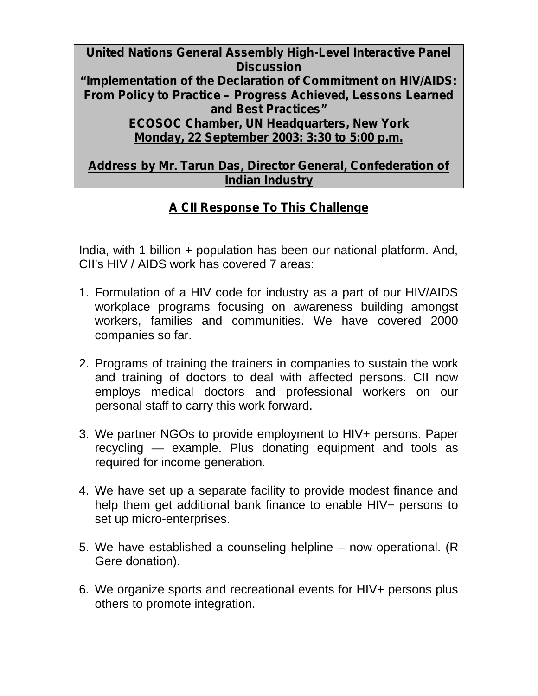**United Nations General Assembly High-Level Interactive Panel Discussion "Implementation of the Declaration of Commitment on HIV/AIDS: From Policy to Practice – Progress Achieved, Lessons Learned and Best Practices" ECOSOC Chamber, UN Headquarters, New York Monday, 22 September 2003: 3:30 to 5:00 p.m.**

**Address by Mr. Tarun Das, Director General, Confederation of Indian Industry**

## **A CII Response To This Challenge**

India, with 1 billion + population has been our national platform. And, CII's HIV / AIDS work has covered 7 areas:

- 1. Formulation of a HIV code for industry as a part of our HIV/AIDS workplace programs focusing on awareness building amongst workers, families and communities. We have covered 2000 companies so far.
- 2. Programs of training the trainers in companies to sustain the work and training of doctors to deal with affected persons. CII now employs medical doctors and professional workers on our personal staff to carry this work forward.
- 3. We partner NGOs to provide employment to HIV+ persons. Paper recycling — example. Plus donating equipment and tools as required for income generation.
- 4. We have set up a separate facility to provide modest finance and help them get additional bank finance to enable HIV+ persons to set up micro-enterprises.
- 5. We have established a counseling helpline now operational. (R Gere donation).
- 6. We organize sports and recreational events for HIV+ persons plus others to promote integration.